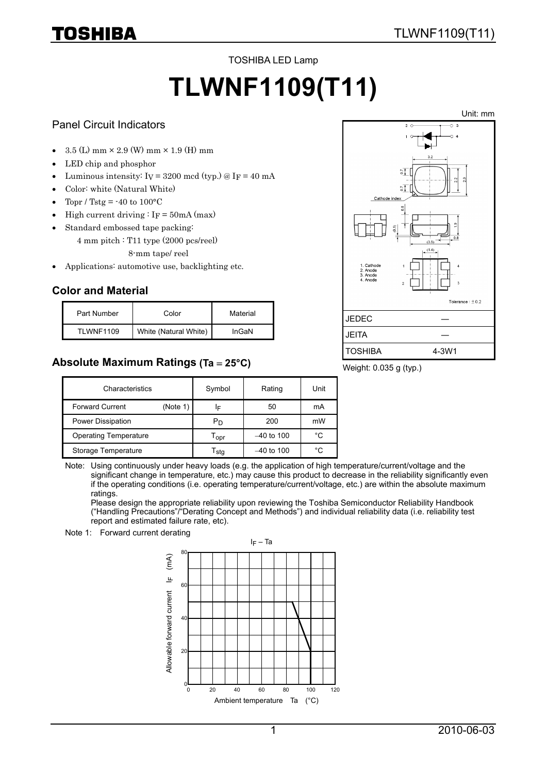TOSHIBA LED Lamp

# **TLWNF1109(T11)**

#### Panel Circuit Indicators

TOSHIBA

- $3.5$  (L) mm  $\times$  2.9 (W) mm  $\times$  1.9 (H) mm
- LED chip and phosphor
- Luminous intensity:  $I_V = 3200 \text{ mod } (typ.) \text{ @ } I_F = 40 \text{ mA}$
- Color: white (Natural White)
- Topr / Tstg =  $-40$  to  $100^{\circ}$ C
- High current driving :  $I_F = 50 \text{mA} (\text{max})$
- Standard embossed tape packing:
	- 4 mm pitch : T11 type (2000 pcs/reel)
		- 8-mm tape/ reel
- Applications: automotive use, backlighting etc.

## **Color and Material**

| Part Number       | Color                 | Material |
|-------------------|-----------------------|----------|
| <b>TI WNF1109</b> | White (Natural White) | InGaN    |

## **Absolute Maximum Ratings (Ta** = **25°C)**



Weight: 0.035 g (typ.)

| Characteristics              |          | Symbol                      | Rating       | Unit |
|------------------------------|----------|-----------------------------|--------------|------|
| <b>Forward Current</b>       | (Note 1) | ΙF                          | 50           | mA   |
| Power Dissipation            |          | Pn                          | 200          | mW   |
| <b>Operating Temperature</b> |          | $\mathsf{T}_{\mathsf{OPT}}$ | $-40$ to 100 | °C   |
| Storage Temperature          |          | I stq                       | $-40$ to 100 | °C   |

Note: Using continuously under heavy loads (e.g. the application of high temperature/current/voltage and the significant change in temperature, etc.) may cause this product to decrease in the reliability significantly even if the operating conditions (i.e. operating temperature/current/voltage, etc.) are within the absolute maximum ratings.

Please design the appropriate reliability upon reviewing the Toshiba Semiconductor Reliability Handbook ("Handling Precautions"/"Derating Concept and Methods") and individual reliability data (i.e. reliability test report and estimated failure rate, etc).



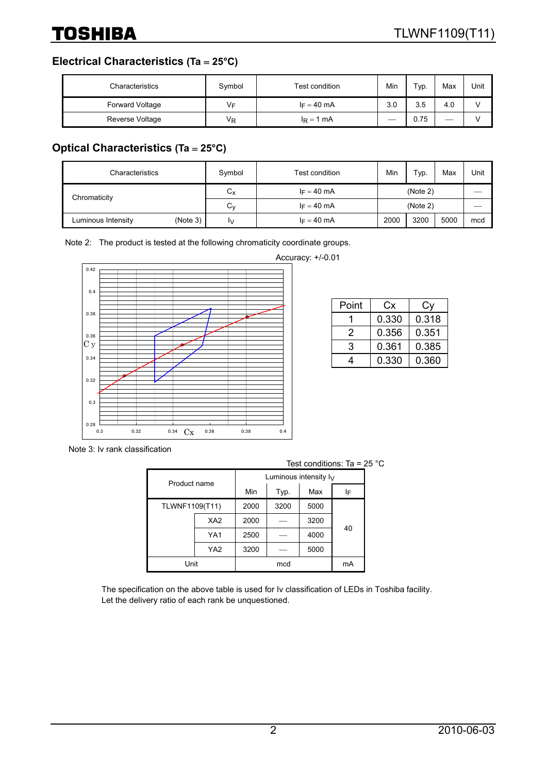**Electrical Characteristics (Ta** = **25°C)**

| Characteristics | Symbol | Test condition | Min | Typ. | Max | Unit |
|-----------------|--------|----------------|-----|------|-----|------|
| Forward Voltage | V⊧     | $I_F = 40$ mA  | 3.0 | 3.5  | 4.0 |      |
| Reverse Voltage | VŖ     | $I_R = 1$ mA   |     | 0.75 | ___ |      |

# **Optical Characteristics (Ta** = **25°C)**

| Characteristics    |          | Symbol       | Test condition | Min      | Typ. | Max  | Unit |
|--------------------|----------|--------------|----------------|----------|------|------|------|
| Chromaticity       |          | $\sim$<br>Uχ | $I_F = 40$ mA  | (Note 2) |      |      |      |
|                    |          | ⌒<br>Uν      | $I_F = 40$ mA  | (Note 2) |      |      |      |
| Luminous Intensity | (Note 3) | I٧           | $I_F = 40$ mA  | 2000     | 3200 | 5000 | mcd  |

Note 2: The product is tested at the following chromaticity coordinate groups.



Accuracy: +/-0.01

| Point | Cx    | Сv    |
|-------|-------|-------|
|       | 0.330 | 0.318 |
| 2     | 0.356 | 0.351 |
| 3     | 0.361 | 0.385 |
| 4     | 0.330 | 0.360 |

Note 3: Iv rank classification

| Test conditions: Ta = $25 \text{ }^{\circ} \text{C}$ |                 |      |                          |      |    |  |
|------------------------------------------------------|-----------------|------|--------------------------|------|----|--|
| Product name                                         |                 |      | Luminous intensity $I_V$ |      |    |  |
|                                                      |                 | Min  | Typ.                     | Max  | ΙF |  |
| TLWNF1109(T11)                                       |                 | 2000 | 3200                     | 5000 |    |  |
|                                                      | XA <sub>2</sub> | 2000 |                          | 3200 | 40 |  |
|                                                      | YA1             | 2500 |                          | 4000 |    |  |
|                                                      | YA <sub>2</sub> | 3200 |                          | 5000 |    |  |
| Unit                                                 |                 |      | mcd                      |      | mA |  |

The specification on the above table is used for Iv classification of LEDs in Toshiba facility. Let the delivery ratio of each rank be unquestioned.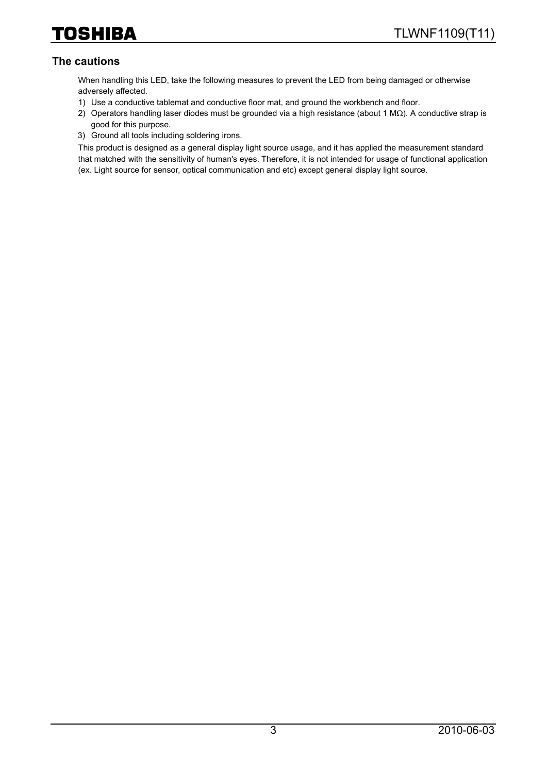## **The cautions**

When handling this LED, take the following measures to prevent the LED from being damaged or otherwise adversely affected.

- 1) Use a conductive tablemat and conductive floor mat, and ground the workbench and floor.
- 2) Operators handling laser diodes must be grounded via a high resistance (about 1 MΩ). A conductive strap is good for this purpose.
- 3) Ground all tools including soldering irons.

This product is designed as a general display light source usage, and it has applied the measurement standard that matched with the sensitivity of human's eyes. Therefore, it is not intended for usage of functional application (ex. Light source for sensor, optical communication and etc) except general display light source.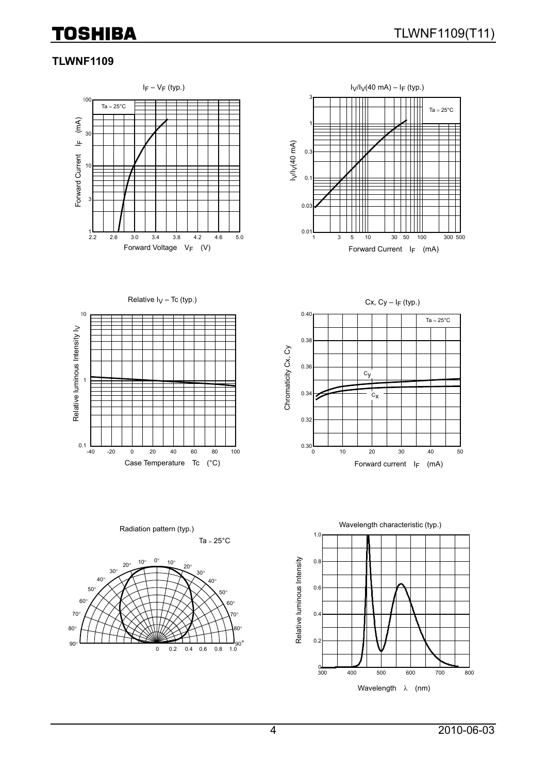# **TLWNF1109**





Relative  $I_V$  – Tc (typ.)



Cx,  $Cy - I_F$  (typ.) 0.40  $Ta = 25^{\circ}C$ 0.38 Chromaticity Cx, Cy Chromaticity Cx, Cy 0.36  $c_y$ 0.34  $c_{\mathbf{X}}$ 0.32  $_{0.30}L_{0}$ 0 10 20 30 40 50 Case Temperature Tc  $(^{\circ}C)$  extended to the Forward current I<sub>F</sub> (mA)



Ta =  $25^{\circ}$ C Radiation pattern (typ.)

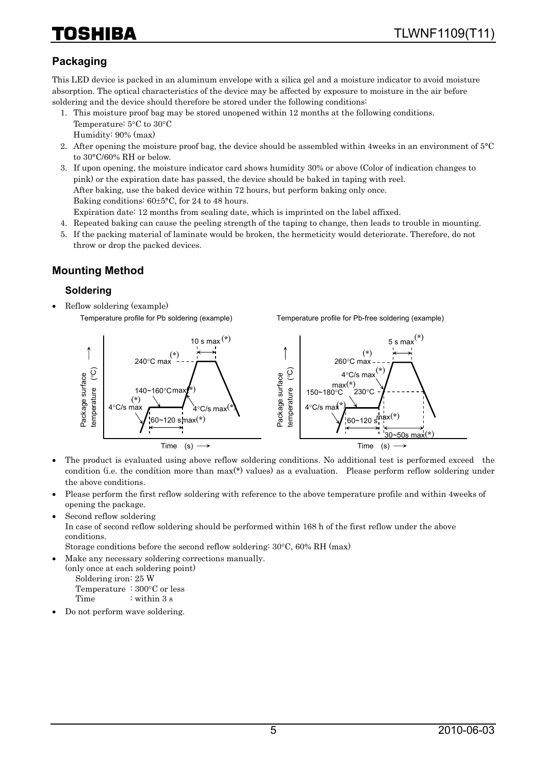# HIBA

# **Packaging**

This LED device is packed in an aluminum envelope with a silica gel and a moisture indicator to avoid moisture absorption. The optical characteristics of the device may be affected by exposure to moisture in the air before soldering and the device should therefore be stored under the following conditions:

- 1. This moisture proof bag may be stored unopened within 12 months at the following conditions. Temperature: 5°C to 30°C Humidity: 90% (max)
- 2. After opening the moisture proof bag, the device should be assembled within 4weeks in an environment of 5°C to 30°C/60% RH or below.
- 3. If upon opening, the moisture indicator card shows humidity 30% or above (Color of indication changes to pink) or the expiration date has passed, the device should be baked in taping with reel. After baking, use the baked device within 72 hours, but perform baking only once. Baking conditions: 60±5°C, for 24 to 48 hours. Expiration date: 12 months from sealing date, which is imprinted on the label affixed.
- 4. Repeated baking can cause the peeling strength of the taping to change, then leads to trouble in mounting.
- 5. If the packing material of laminate would be broken, the hermeticity would deteriorate. Therefore, do not throw or drop the packed devices.

## **Mounting Method**

#### **Soldering**

• Reflow soldering (example) Temperature profile for Pb soldering (example)

Temperature profile for Pb-free soldering (example)



- The product is evaluated using above reflow soldering conditions. No additional test is performed exceed the condition (i.e. the condition more than max(\*) values) as a evaluation. Please perform reflow soldering under the above conditions.
- Please perform the first reflow soldering with reference to the above temperature profile and within 4weeks of opening the package.
- Second reflow soldering

In case of second reflow soldering should be performed within 168 h of the first reflow under the above conditions.

Storage conditions before the second reflow soldering: 30°C, 60% RH (max)

• Make any necessary soldering corrections manually.

(only once at each soldering point) Soldering iron: 25 W Temperature : 300°C or less

Time : within 3 s

• Do not perform wave soldering.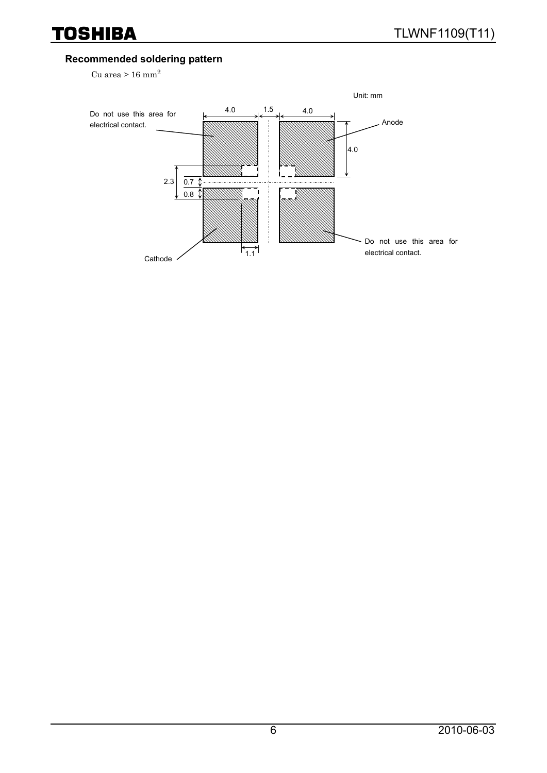#### **Recommended soldering pattern**

Cu area >  $16$  mm<sup>2</sup>

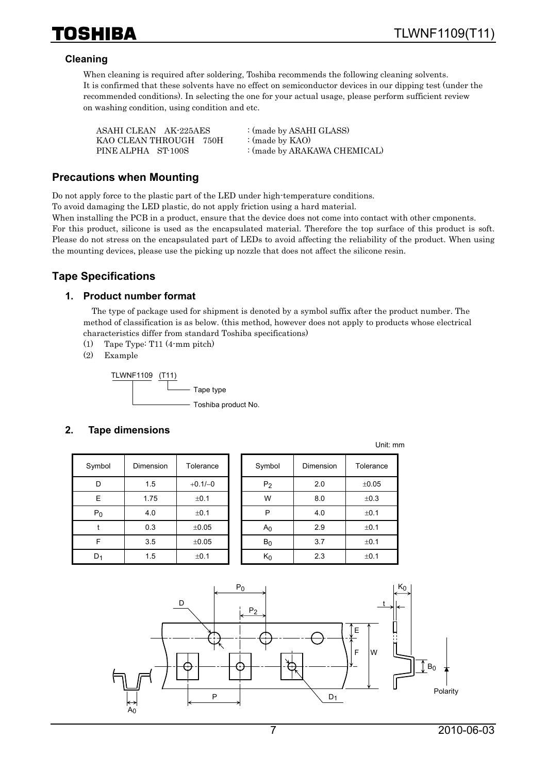

#### **Cleaning**

When cleaning is required after soldering, Toshiba recommends the following cleaning solvents. It is confirmed that these solvents have no effect on semiconductor devices in our dipping test (under the recommended conditions). In selecting the one for your actual usage, please perform sufficient review on washing condition, using condition and etc.

| ASAHI CLEAN AK-225AES  | : (made by ASAHI GLASS)      |
|------------------------|------------------------------|
| KAO CLEAN THROUGH 750H | : (made by $KAO$ )           |
| PINE ALPHA ST-100S     | : (made by ARAKAWA CHEMICAL) |

#### **Precautions when Mounting**

Do not apply force to the plastic part of the LED under high-temperature conditions.

To avoid damaging the LED plastic, do not apply friction using a hard material.

When installing the PCB in a product, ensure that the device does not come into contact with other cmponents. For this product, silicone is used as the encapsulated material. Therefore the top surface of this product is soft. Please do not stress on the encapsulated part of LEDs to avoid affecting the reliability of the product. When using the mounting devices, please use the picking up nozzle that does not affect the silicone resin.

## **Tape Specifications**

#### **1. Product number format**

The type of package used for shipment is denoted by a symbol suffix after the product number. The method of classification is as below. (this method, however does not apply to products whose electrical characteristics differ from standard Toshiba specifications)

- (1) Tape Type: T11 (4-mm pitch)
- (2) Example

TLWNF1109 (T11) Tape type - Toshiba product No.

#### **2. Tape dimensions**

| Symbol         | Dimension        | Tolerance  |
|----------------|------------------|------------|
| D              | 1.5              | $+0.1/-0$  |
| E              | 1.75             | $\pm 0.1$  |
| P <sub>0</sub> | 4.0              | ±0.1       |
|                | 0.3              | $\pm 0.05$ |
| F              | 3.5              | $\pm 0.05$ |
|                | 1.5<br>$\pm 0.1$ |            |

| Symbol         | Dimension | Tolerance  | Symbol         | Dimension | Tolerance  |
|----------------|-----------|------------|----------------|-----------|------------|
| D              | 1.5       | $+0.1/-0$  | P <sub>2</sub> | 2.0       | $\pm 0.05$ |
| E              | 1.75      | ±0.1       | W              | 8.0       | ±0.3       |
| $P_0$          | 4.0       | ±0.1       | P              | 4.0       | ±0.1       |
|                | 0.3       | $\pm 0.05$ | A <sub>0</sub> | 2.9       | ±0.1       |
| F              | 3.5       | $\pm 0.05$ | $B_0$          | 3.7       | ±0.1       |
| D <sub>1</sub> | 1.5       | ±0.1       | $K_0$          | 2.3       | ±0.1       |

Unit: mm

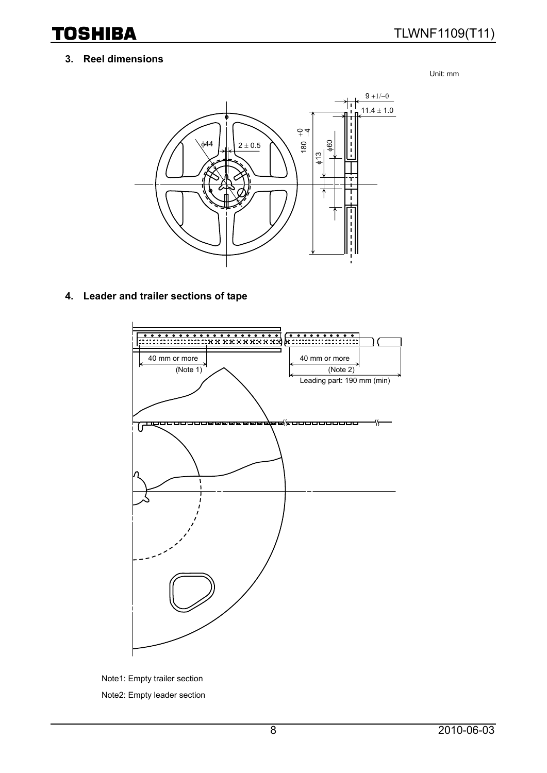#### **3. Reel dimensions**

Unit: mm



#### **4. Leader and trailer sections of tape**



Note1: Empty trailer section Note2: Empty leader section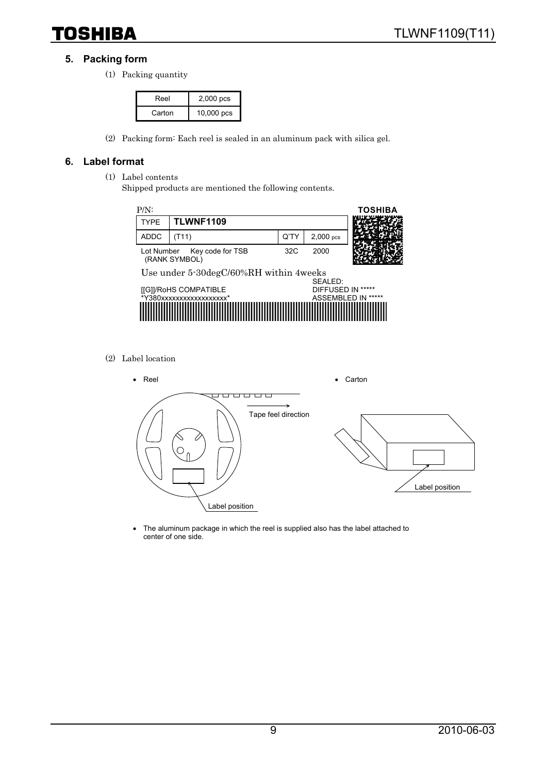#### **5. Packing form**

(1) Packing quantity

| Reel   | $2,000$ pcs |
|--------|-------------|
| Carton | 10,000 pcs  |

(2) Packing form: Each reel is sealed in an aluminum pack with silica gel.

#### **6. Label format**

- (1) Label contents
	- Shipped products are mentioned the following contents.



(2) Label location



• The aluminum package in which the reel is supplied also has the label attached to center of one side.